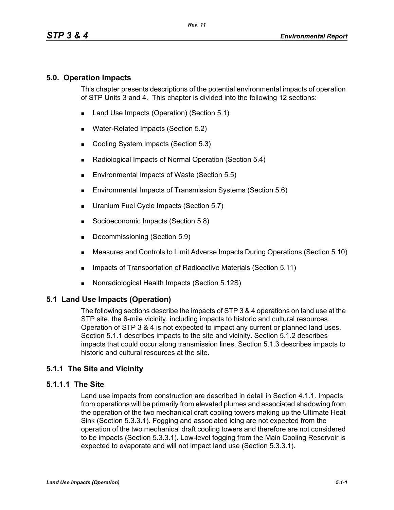## **5.0. Operation Impacts**

This chapter presents descriptions of the potential environmental impacts of operation of STP Units 3 and 4. This chapter is divided into the following 12 sections:

- Land Use Impacts (Operation) (Section 5.1)
- **Water-Related Impacts (Section 5.2)**
- Cooling System Impacts (Section 5.3)
- Radiological Impacts of Normal Operation (Section 5.4)
- Environmental Impacts of Waste (Section 5.5)
- **Environmental Impacts of Transmission Systems (Section 5.6)**
- **Uranium Fuel Cycle Impacts (Section 5.7)**
- Socioeconomic Impacts (Section 5.8)
- Decommissioning (Section 5.9)
- Measures and Controls to Limit Adverse Impacts During Operations (Section 5.10)
- **IMPACTER 15 Impacts of Transportation of Radioactive Materials (Section 5.11)**
- Nonradiological Health Impacts (Section 5.12S)

# **5.1 Land Use Impacts (Operation)**

The following sections describe the impacts of STP 3 & 4 operations on land use at the STP site, the 6-mile vicinity, including impacts to historic and cultural resources. Operation of STP 3 & 4 is not expected to impact any current or planned land uses. Section 5.1.1 describes impacts to the site and vicinity. Section 5.1.2 describes impacts that could occur along transmission lines. Section 5.1.3 describes impacts to historic and cultural resources at the site.

# **5.1.1 The Site and Vicinity**

## **5.1.1.1 The Site**

Land use impacts from construction are described in detail in Section 4.1.1. Impacts from operations will be primarily from elevated plumes and associated shadowing from the operation of the two mechanical draft cooling towers making up the Ultimate Heat Sink (Section 5.3.3.1). Fogging and associated icing are not expected from the operation of the two mechanical draft cooling towers and therefore are not considered to be impacts (Section 5.3.3.1). Low-level fogging from the Main Cooling Reservoir is expected to evaporate and will not impact land use (Section 5.3.3.1).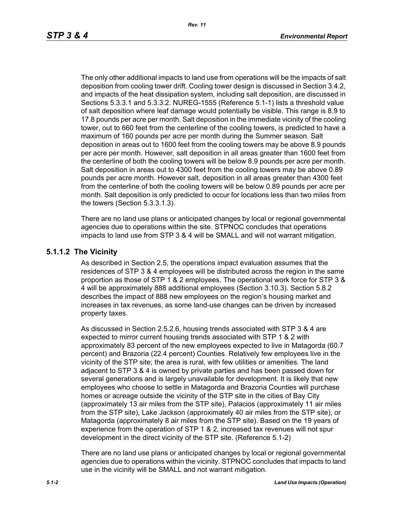The only other additional impacts to land use from operations will be the impacts of salt deposition from cooling tower drift. Cooling tower design is discussed in Section 3.4.2, and impacts of the heat dissipation system, including salt deposition, are discussed in Sections 5.3.3.1 and 5.3.3.2. NUREG-1555 (Reference 5.1-1) lists a threshold value of salt deposition where leaf damage would potentially be visible. This range is 8.9 to 17.8 pounds per acre per month. Salt deposition in the immediate vicinity of the cooling tower, out to 660 feet from the centerline of the cooling towers, is predicted to have a maximum of 160 pounds per acre per month during the Summer season. Salt deposition in areas out to 1600 feet from the cooling towers may be above 8.9 pounds per acre per month. However, salt deposition in all areas greater than 1600 feet from the centerline of both the cooling towers will be below 8.9 pounds per acre per month. Salt deposition in areas out to 4300 feet from the cooling towers may be above 0.89 pounds per acre month. However salt, deposition in all areas greater than 4300 feet from the centerline of both the cooling towers will be below 0.89 pounds per acre per month. Salt deposition is only predicted to occur for locations less than two miles from the towers (Section 5.3.3.1.3).

There are no land use plans or anticipated changes by local or regional governmental agencies due to operations within the site. STPNOC concludes that operations impacts to land use from STP 3 & 4 will be SMALL and will not warrant mitigation.

#### **5.1.1.2 The Vicinity**

As described in Section 2.5, the operations impact evaluation assumes that the residences of STP 3 & 4 employees will be distributed across the region in the same proportion as those of STP 1 & 2 employees. The operational work force for STP 3 & 4 will be approximately 888 additional employees (Section 3.10.3). Section 5.8.2 describes the impact of 888 new employees on the region's housing market and increases in tax revenues, as some land-use changes can be driven by increased property taxes.

As discussed in Section 2.5.2.6, housing trends associated with STP 3 & 4 are expected to mirror current housing trends associated with STP 1 & 2 with approximately 83 percent of the new employees expected to live in Matagorda (60.7 percent) and Brazoria (22.4 percent) Counties. Relatively few employees live in the vicinity of the STP site; the area is rural, with few utilities or amenities. The land adjacent to STP 3 & 4 is owned by private parties and has been passed down for several generations and is largely unavailable for development. It is likely that new employees who choose to settle in Matagorda and Brazoria Counties will purchase homes or acreage outside the vicinity of the STP site in the cities of Bay City (approximately 13 air miles from the STP site), Palacios (approximately 11 air miles from the STP site), Lake Jackson (approximately 40 air miles from the STP site), or Matagorda (approximately 8 air miles from the STP site). Based on the 19 years of experience from the operation of STP 1 & 2, increased tax revenues will not spur development in the direct vicinity of the STP site. (Reference 5.1-2)

There are no land use plans or anticipated changes by local or regional governmental agencies due to operations within the vicinity. STPNOC concludes that impacts to land use in the vicinity will be SMALL and not warrant mitigation.